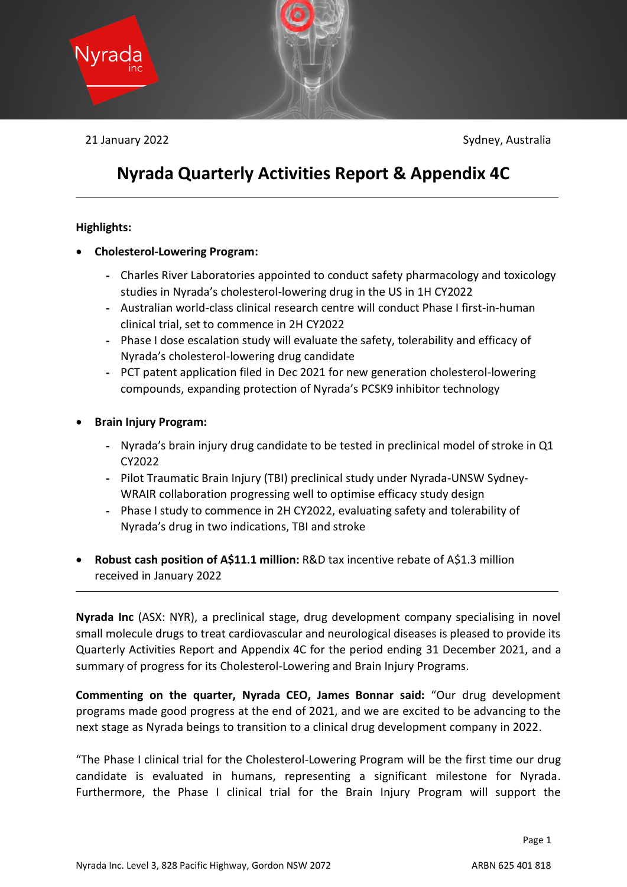

21 January 2022 Sydney, Australia

# **Nyrada Quarterly Activities Report & Appendix 4C**

#### **Highlights:**

- **Cholesterol-Lowering Program:**
	- Charles River Laboratories appointed to conduct safety pharmacology and toxicology studies in Nyrada's cholesterol-lowering drug in the US in 1H CY2022
	- Australian world-class clinical research centre will conduct Phase I first-in-human clinical trial, set to commence in 2H CY2022
	- Phase I dose escalation study will evaluate the safety, tolerability and efficacy of Nyrada's cholesterol-lowering drug candidate
	- PCT patent application filed in Dec 2021 for new generation cholesterol-lowering compounds, expanding protection of Nyrada's PCSK9 inhibitor technology
- **Brain Injury Program:**
	- Nyrada's brain injury drug candidate to be tested in preclinical model of stroke in Q1 CY2022
	- Pilot Traumatic Brain Injury (TBI) preclinical study under Nyrada-UNSW Sydney-WRAIR collaboration progressing well to optimise efficacy study design
	- Phase I study to commence in 2H CY2022, evaluating safety and tolerability of Nyrada's drug in two indications, TBI and stroke
- **Robust cash position of A\$11.1 million:** R&D tax incentive rebate of A\$1.3 million received in January 2022

**Nyrada Inc** (ASX: NYR), a preclinical stage, drug development company specialising in novel small molecule drugs to treat cardiovascular and neurological diseases is pleased to provide its Quarterly Activities Report and Appendix 4C for the period ending 31 December 2021, and a summary of progress for its Cholesterol-Lowering and Brain Injury Programs.

**Commenting on the quarter, Nyrada CEO, James Bonnar said:** "Our drug development programs made good progress at the end of 2021, and we are excited to be advancing to the next stage as Nyrada beings to transition to a clinical drug development company in 2022.

"The Phase I clinical trial for the Cholesterol-Lowering Program will be the first time our drug candidate is evaluated in humans, representing a significant milestone for Nyrada. Furthermore, the Phase I clinical trial for the Brain Injury Program will support the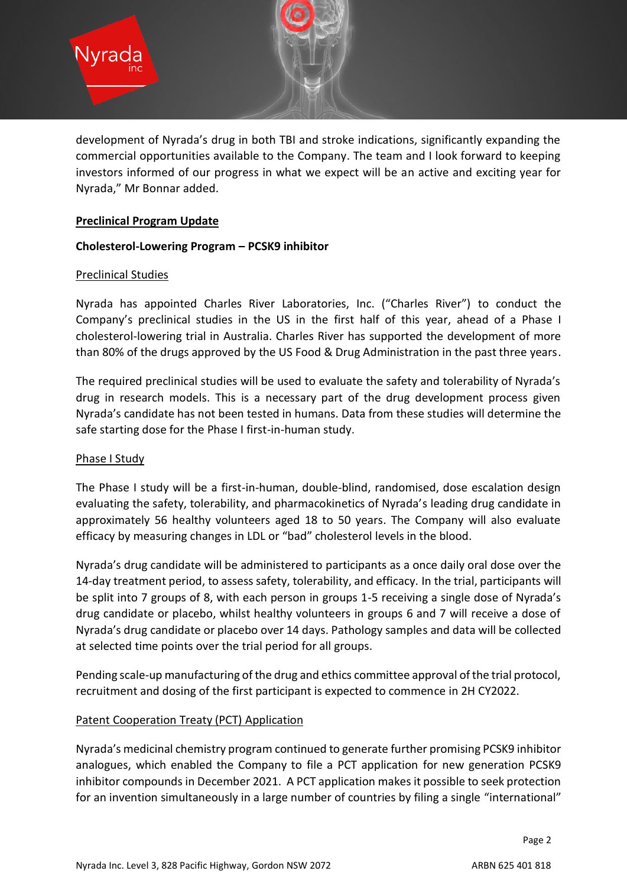

development of Nyrada's drug in both TBI and stroke indications, significantly expanding the commercial opportunities available to the Company. The team and I look forward to keeping investors informed of our progress in what we expect will be an active and exciting year for Nyrada," Mr Bonnar added.

#### **Preclinical Program Update**

#### **Cholesterol-Lowering Program – PCSK9 inhibitor**

#### Preclinical Studies

Nyrada has appointed Charles River Laboratories, Inc. ("Charles River") to conduct the Company's preclinical studies in the US in the first half of this year, ahead of a Phase I cholesterol-lowering trial in Australia. Charles River has supported the development of more than 80% of the drugs approved by the US Food & Drug Administration in the past three years.

The required preclinical studies will be used to evaluate the safety and tolerability of Nyrada's drug in research models. This is a necessary part of the drug development process given Nyrada's candidate has not been tested in humans. Data from these studies will determine the safe starting dose for the Phase I first-in-human study.

#### Phase I Study

The Phase I study will be a first-in-human, double-blind, randomised, dose escalation design evaluating the safety, tolerability, and pharmacokinetics of Nyrada's leading drug candidate in approximately 56 healthy volunteers aged 18 to 50 years. The Company will also evaluate efficacy by measuring changes in LDL or "bad" cholesterol levels in the blood.

Nyrada's drug candidate will be administered to participants as a once daily oral dose over the 14-day treatment period, to assess safety, tolerability, and efficacy. In the trial, participants will be split into 7 groups of 8, with each person in groups 1-5 receiving a single dose of Nyrada's drug candidate or placebo, whilst healthy volunteers in groups 6 and 7 will receive a dose of Nyrada's drug candidate or placebo over 14 days. Pathology samples and data will be collected at selected time points over the trial period for all groups.

Pending scale-up manufacturing of the drug and ethics committee approval of the trial protocol, recruitment and dosing of the first participant is expected to commence in 2H CY2022.

## Patent Cooperation Treaty (PCT) Application

Nyrada's medicinal chemistry program continued to generate further promising PCSK9 inhibitor analogues, which enabled the Company to file a PCT application for new generation PCSK9 inhibitor compounds in December 2021. A PCT application makes it possible to seek protection for an invention simultaneously in a large number of countries by filing a single "international"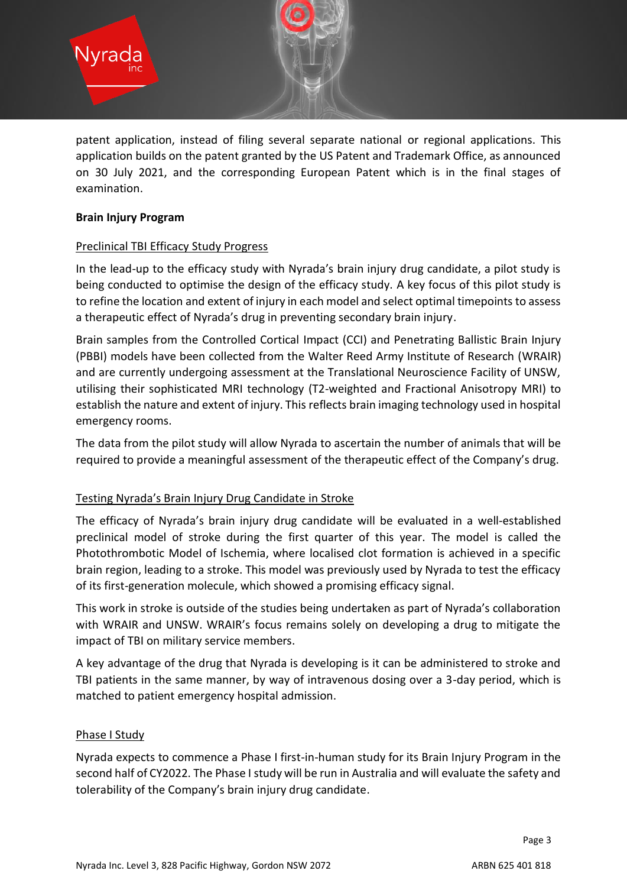

patent application, instead of filing several separate national or regional applications. This application builds on the patent granted by the US Patent and Trademark Office, as announced on 30 July 2021, and the corresponding European Patent which is in the final stages of examination.

#### **Brain Injury Program**

## Preclinical TBI Efficacy Study Progress

In the lead-up to the efficacy study with Nyrada's brain injury drug candidate, a pilot study is being conducted to optimise the design of the efficacy study. A key focus of this pilot study is to refine the location and extent of injury in each model and select optimal timepoints to assess a therapeutic effect of Nyrada's drug in preventing secondary brain injury.

Brain samples from the Controlled Cortical Impact (CCI) and Penetrating Ballistic Brain Injury (PBBI) models have been collected from the Walter Reed Army Institute of Research (WRAIR) and are currently undergoing assessment at the Translational Neuroscience Facility of UNSW, utilising their sophisticated MRI technology (T2-weighted and Fractional Anisotropy MRI) to establish the nature and extent of injury. This reflects brain imaging technology used in hospital emergency rooms.

The data from the pilot study will allow Nyrada to ascertain the number of animals that will be required to provide a meaningful assessment of the therapeutic effect of the Company's drug.

## Testing Nyrada's Brain Injury Drug Candidate in Stroke

The efficacy of Nyrada's brain injury drug candidate will be evaluated in a well-established preclinical model of stroke during the first quarter of this year. The model is called the Photothrombotic Model of Ischemia, where localised clot formation is achieved in a specific brain region, leading to a stroke. This model was previously used by Nyrada to test the efficacy of its first-generation molecule, which showed a promising efficacy signal.

This work in stroke is outside of the studies being undertaken as part of Nyrada's collaboration with WRAIR and UNSW. WRAIR's focus remains solely on developing a drug to mitigate the impact of TBI on military service members.

A key advantage of the drug that Nyrada is developing is it can be administered to stroke and TBI patients in the same manner, by way of intravenous dosing over a 3-day period, which is matched to patient emergency hospital admission.

#### Phase I Study

Nyrada expects to commence a Phase I first-in-human study for its Brain Injury Program in the second half of CY2022. The Phase I study will be run in Australia and will evaluate the safety and tolerability of the Company's brain injury drug candidate.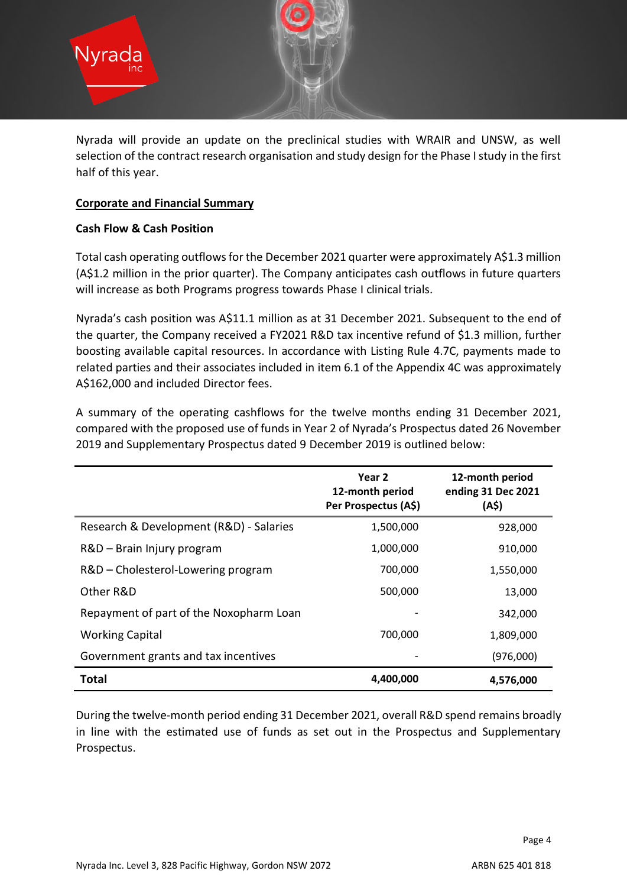

Nyrada will provide an update on the preclinical studies with WRAIR and UNSW, as well selection of the contract research organisation and study design for the Phase I study in the first half of this year.

#### **Corporate and Financial Summary**

#### **Cash Flow & Cash Position**

Total cash operating outflows for the December 2021 quarter were approximately A\$1.3 million (A\$1.2 million in the prior quarter). The Company anticipates cash outflows in future quarters will increase as both Programs progress towards Phase I clinical trials.

Nyrada's cash position was A\$11.1 million as at 31 December 2021. Subsequent to the end of the quarter, the Company received a FY2021 R&D tax incentive refund of \$1.3 million, further boosting available capital resources. In accordance with Listing Rule 4.7C, payments made to related parties and their associates included in item 6.1 of the Appendix 4C was approximately A\$162,000 and included Director fees.

A summary of the operating cashflows for the twelve months ending 31 December 2021, compared with the proposed use of funds in Year 2 of Nyrada's Prospectus dated 26 November 2019 and Supplementary Prospectus dated 9 December 2019 is outlined below:

|                                         | Year 2<br>12-month period<br>Per Prospectus (A\$) | 12-month period<br>ending 31 Dec 2021<br>(A\$) |
|-----------------------------------------|---------------------------------------------------|------------------------------------------------|
| Research & Development (R&D) - Salaries | 1,500,000                                         | 928,000                                        |
| R&D - Brain Injury program              | 1,000,000                                         | 910,000                                        |
| R&D – Cholesterol-Lowering program      | 700,000                                           | 1,550,000                                      |
| Other R&D                               | 500,000                                           | 13,000                                         |
| Repayment of part of the Noxopharm Loan |                                                   | 342,000                                        |
| <b>Working Capital</b>                  | 700.000                                           | 1,809,000                                      |
| Government grants and tax incentives    |                                                   | (976,000)                                      |
| <b>Total</b>                            | 4,400,000                                         | 4,576,000                                      |

During the twelve-month period ending 31 December 2021, overall R&D spend remains broadly in line with the estimated use of funds as set out in the Prospectus and Supplementary Prospectus.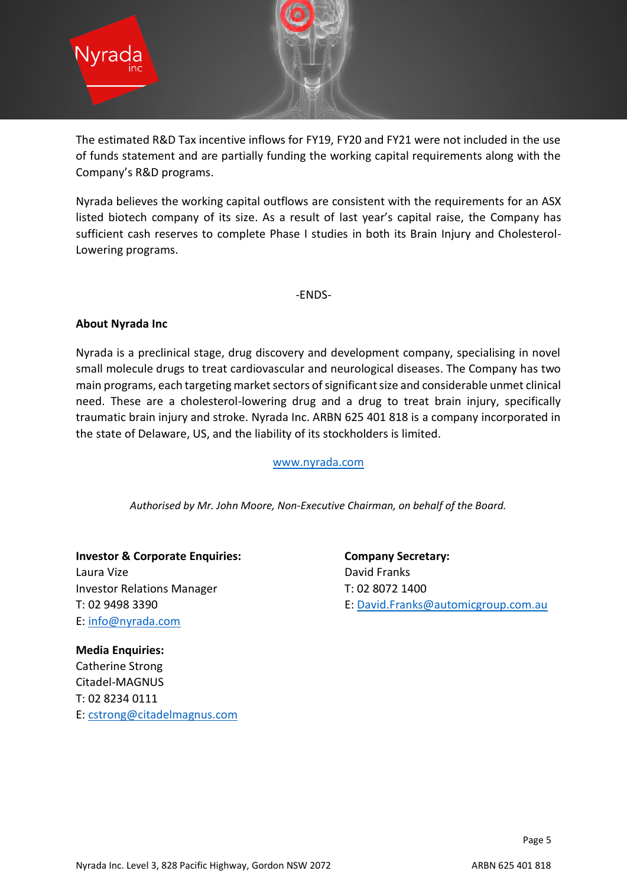

The estimated R&D Tax incentive inflows for FY19, FY20 and FY21 were not included in the use of funds statement and are partially funding the working capital requirements along with the Company's R&D programs.

Nyrada believes the working capital outflows are consistent with the requirements for an ASX listed biotech company of its size. As a result of last year's capital raise, the Company has sufficient cash reserves to complete Phase I studies in both its Brain Injury and Cholesterol-Lowering programs.

-ENDS-

#### **About Nyrada Inc**

Nyrada is a preclinical stage, drug discovery and development company, specialising in novel small molecule drugs to treat cardiovascular and neurological diseases. The Company has two main programs, each targeting market sectors of significant size and considerable unmet clinical need. These are a cholesterol-lowering drug and a drug to treat brain injury, specifically traumatic brain injury and stroke. Nyrada Inc. ARBN 625 401 818 is a company incorporated in the state of Delaware, US, and the liability of its stockholders is limited.

[www.nyrada.com](http://www.nyrada.com/)

*Authorised by Mr. John Moore, Non-Executive Chairman, on behalf of the Board.*

**Investor & Corporate Enquiries: Company Secretary:** Laura Vize **David Franks** Investor Relations Manager T: 02 8072 1400 E: [info@nyrada.com](mailto:info@nyrada.com)

T: 02 9498 3390 **E:** [David.Franks@automicgroup.com.au](mailto:David.Franks@automicgroup.com.au)

**Media Enquiries:** Catherine Strong Citadel-MAGNUS T: 02 8234 0111 E: [cstrong@citadelmagnus.com](mailto:cstrong@citadelmagnus.com)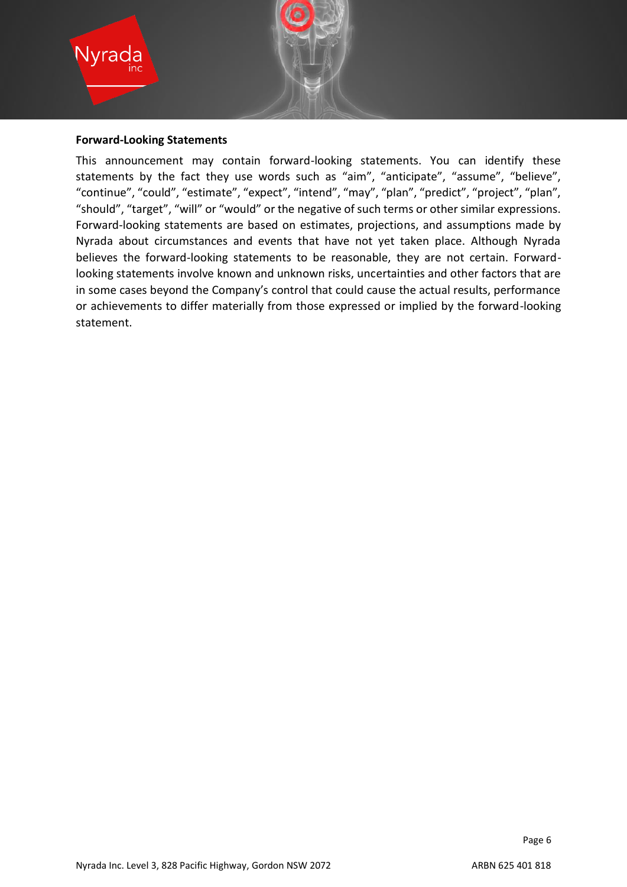

#### **Forward-Looking Statements**

This announcement may contain forward-looking statements. You can identify these statements by the fact they use words such as "aim", "anticipate", "assume", "believe", "continue", "could", "estimate", "expect", "intend", "may", "plan", "predict", "project", "plan", "should", "target", "will" or "would" or the negative of such terms or other similar expressions. Forward-looking statements are based on estimates, projections, and assumptions made by Nyrada about circumstances and events that have not yet taken place. Although Nyrada believes the forward-looking statements to be reasonable, they are not certain. Forwardlooking statements involve known and unknown risks, uncertainties and other factors that are in some cases beyond the Company's control that could cause the actual results, performance or achievements to differ materially from those expressed or implied by the forward-looking statement.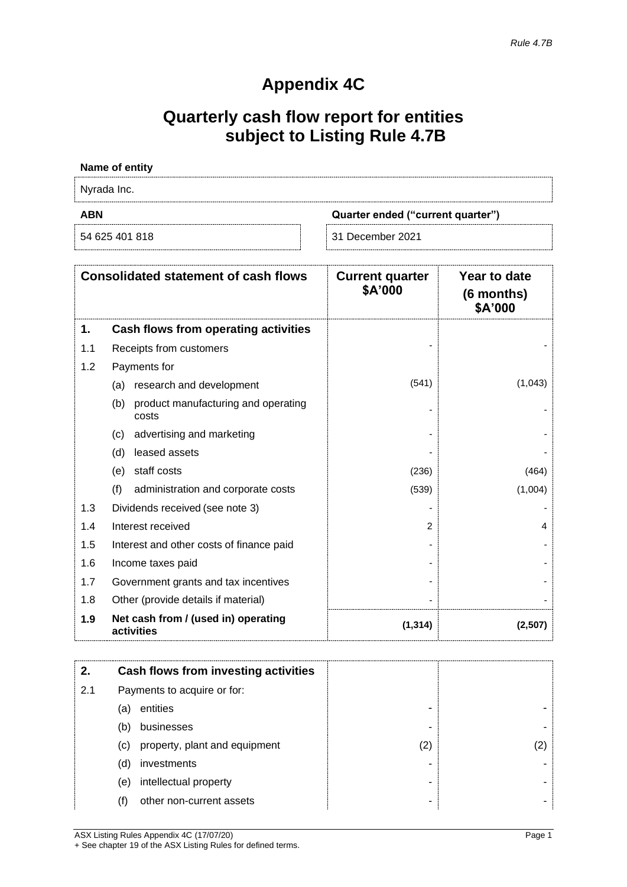# **Appendix 4C**

# **Quarterly cash flow report for entities subject to Listing Rule 4.7B**

#### **Name of entity**

Nyrada Inc.

**ABN Quarter ended ("current quarter")**

54 625 401 818 31 December 2021

| <b>Consolidated statement of cash flows</b> |                                                     | <b>Current quarter</b><br>\$A'000 | Year to date<br>(6 months)<br>\$A'000 |
|---------------------------------------------|-----------------------------------------------------|-----------------------------------|---------------------------------------|
| 1.                                          | Cash flows from operating activities                |                                   |                                       |
| 1.1                                         | Receipts from customers                             |                                   |                                       |
| 1.2                                         | Payments for                                        |                                   |                                       |
|                                             | research and development<br>(a)                     | (541)                             | (1,043)                               |
|                                             | product manufacturing and operating<br>(b)<br>costs |                                   |                                       |
|                                             | advertising and marketing<br>(c)                    |                                   |                                       |
|                                             | leased assets<br>(d)                                |                                   |                                       |
|                                             | staff costs<br>(e)                                  | (236)                             | (464)                                 |
|                                             | (f)<br>administration and corporate costs           | (539)                             | (1,004)                               |
| 1.3                                         | Dividends received (see note 3)                     |                                   |                                       |
| 1.4                                         | Interest received                                   | 2                                 | 4                                     |
| 1.5                                         | Interest and other costs of finance paid            |                                   |                                       |
| 1.6                                         | Income taxes paid                                   |                                   |                                       |
| 1.7                                         | Government grants and tax incentives                |                                   |                                       |
| 1.8                                         | Other (provide details if material)                 |                                   |                                       |
| 1.9                                         | Net cash from / (used in) operating<br>activities   | (1, 314)                          | (2,507)                               |

| 2.  | <b>Cash flows from investing activities</b> |                   |  |
|-----|---------------------------------------------|-------------------|--|
| 2.1 | Payments to acquire or for:                 |                   |  |
| (a) | entities                                    |                   |  |
| (b) | businesses                                  |                   |  |
| (c) | property, plant and equipment               | $\left( 2\right)$ |  |
| (d) | investments                                 |                   |  |
| (e) | intellectual property                       |                   |  |
| (f) | other non-current assets                    |                   |  |

ASX Listing Rules Appendix 4C (17/07/20) Page 1 + See chapter 19 of the ASX Listing Rules for defined terms.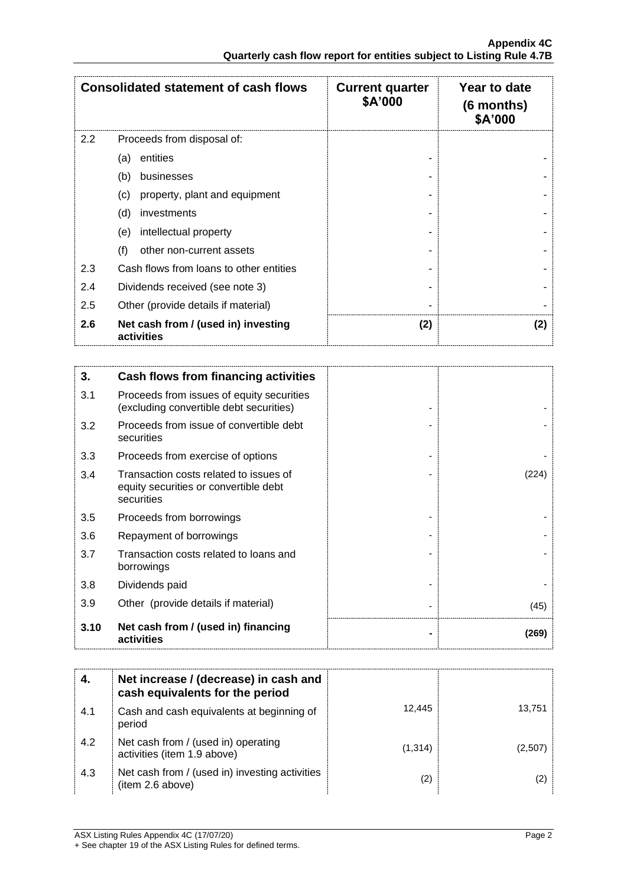| <b>Consolidated statement of cash flows</b> |                                                   | <b>Current quarter</b><br>\$A'000 | Year to date<br>(6 months)<br>\$A'000 |
|---------------------------------------------|---------------------------------------------------|-----------------------------------|---------------------------------------|
| 2.2                                         | Proceeds from disposal of:                        |                                   |                                       |
|                                             | entities<br>(a)                                   |                                   |                                       |
|                                             | (b)<br>businesses                                 |                                   |                                       |
|                                             | (c)<br>property, plant and equipment              |                                   |                                       |
|                                             | (d)<br>investments                                |                                   |                                       |
|                                             | intellectual property<br>(e)                      |                                   |                                       |
|                                             | (f)<br>other non-current assets                   |                                   |                                       |
| 2.3                                         | Cash flows from loans to other entities           |                                   |                                       |
| 2.4                                         | Dividends received (see note 3)                   |                                   |                                       |
| 2.5                                         | Other (provide details if material)               |                                   |                                       |
| 2.6                                         | Net cash from / (used in) investing<br>activities | (2)                               | (2)                                   |

| 3.   | <b>Cash flows from financing activities</b>                                                   |       |
|------|-----------------------------------------------------------------------------------------------|-------|
| 3.1  | Proceeds from issues of equity securities<br>(excluding convertible debt securities)          |       |
| 3.2  | Proceeds from issue of convertible debt<br>securities                                         |       |
| 3.3  | Proceeds from exercise of options                                                             |       |
| 3.4  | Transaction costs related to issues of<br>equity securities or convertible debt<br>securities | (224) |
| 3.5  | Proceeds from borrowings                                                                      |       |
| 3.6  | Repayment of borrowings                                                                       |       |
| 3.7  | Transaction costs related to loans and<br>borrowings                                          |       |
| 3.8  | Dividends paid                                                                                |       |
| 3.9  | Other (provide details if material)                                                           | (45)  |
| 3.10 | Net cash from / (used in) financing<br>activities                                             | (269) |

|     | Net increase / (decrease) in cash and<br>cash equivalents for the period |         |         |
|-----|--------------------------------------------------------------------------|---------|---------|
| 4.1 | Cash and cash equivalents at beginning of<br>period                      | 12,445  | 13,751  |
| 4.2 | Net cash from / (used in) operating<br>activities (item 1.9 above)       | (1,314) | (2,507) |
| 4.3 | Net cash from / (used in) investing activities<br>(item 2.6 above)       | (2)     | (2)     |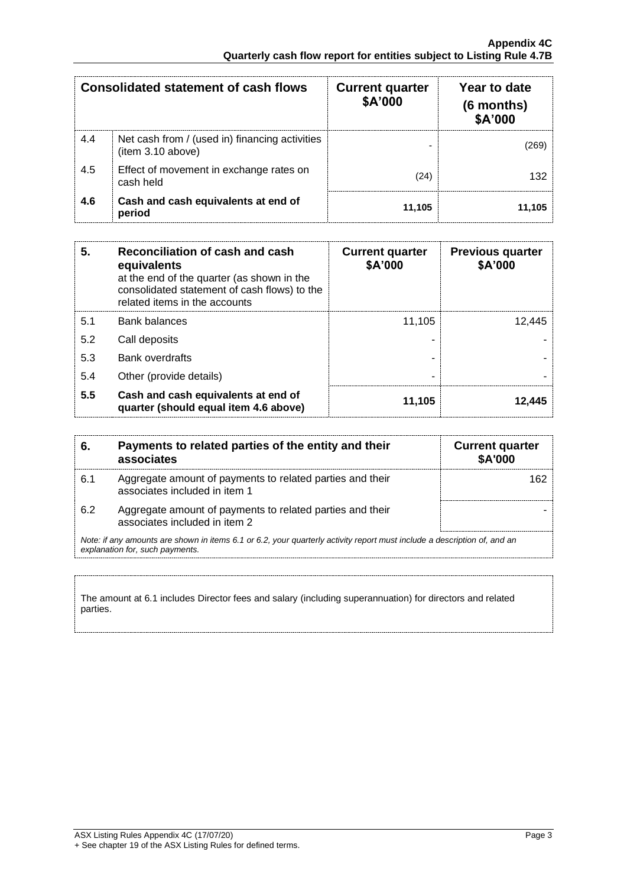| <b>Consolidated statement of cash flows</b> |                                                                     | <b>Current quarter</b><br>\$A'000 | Year to date<br>(6 months)<br>\$A'000 |
|---------------------------------------------|---------------------------------------------------------------------|-----------------------------------|---------------------------------------|
| 4.4                                         | Net cash from / (used in) financing activities<br>(item 3.10 above) |                                   | (269)                                 |
| 4.5                                         | Effect of movement in exchange rates on<br>cash held                | (24)                              | 132                                   |
| 4.6                                         | Cash and cash equivalents at end of<br>period                       | 11,105                            | 11,105                                |

| 5.  | Reconciliation of cash and cash<br>equivalents<br>at the end of the quarter (as shown in the<br>consolidated statement of cash flows) to the<br>related items in the accounts | <b>Current quarter</b><br>\$A'000 | <b>Previous quarter</b><br>\$A'000 |
|-----|-------------------------------------------------------------------------------------------------------------------------------------------------------------------------------|-----------------------------------|------------------------------------|
| 5.1 | <b>Bank balances</b>                                                                                                                                                          | 11,105                            | 12.445                             |
| 5.2 | Call deposits                                                                                                                                                                 |                                   |                                    |
| 5.3 | <b>Bank overdrafts</b>                                                                                                                                                        |                                   |                                    |
| 5.4 | Other (provide details)                                                                                                                                                       | ۰                                 |                                    |
| 5.5 | Cash and cash equivalents at end of<br>quarter (should equal item 4.6 above)                                                                                                  | 11,105                            | 12.445                             |

| 6.  | Payments to related parties of the entity and their<br>associates                                                                                           | <b>Current quarter</b><br><b>\$A'000</b> |
|-----|-------------------------------------------------------------------------------------------------------------------------------------------------------------|------------------------------------------|
| 6.1 | Aggregate amount of payments to related parties and their<br>associates included in item 1                                                                  | 162                                      |
| 6.2 | Aggregate amount of payments to related parties and their<br>associates included in item 2                                                                  |                                          |
|     | Note: if any amounts are shown in items 6.1 or 6.2, your quarterly activity report must include a description of, and an<br>explanation for, such payments. |                                          |

The amount at 6.1 includes Director fees and salary (including superannuation) for directors and related parties.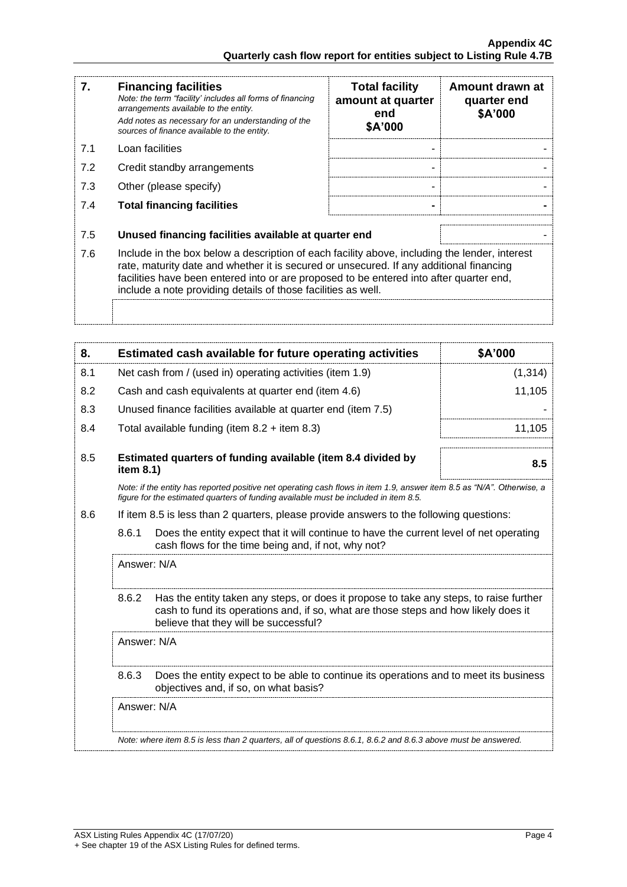| 7.                                                                                                                                                                                                                                                                                                                                                          | <b>Financing facilities</b><br>Note: the term "facility' includes all forms of financing<br>arrangements available to the entity.<br>Add notes as necessary for an understanding of the<br>sources of finance available to the entity. | <b>Total facility</b><br>amount at quarter<br>end<br>\$A'000 | Amount drawn at<br>quarter end<br>\$A'000 |
|-------------------------------------------------------------------------------------------------------------------------------------------------------------------------------------------------------------------------------------------------------------------------------------------------------------------------------------------------------------|----------------------------------------------------------------------------------------------------------------------------------------------------------------------------------------------------------------------------------------|--------------------------------------------------------------|-------------------------------------------|
| 7.1                                                                                                                                                                                                                                                                                                                                                         | Loan facilities                                                                                                                                                                                                                        |                                                              |                                           |
| 7.2                                                                                                                                                                                                                                                                                                                                                         | Credit standby arrangements                                                                                                                                                                                                            |                                                              |                                           |
| 7.3                                                                                                                                                                                                                                                                                                                                                         | Other (please specify)                                                                                                                                                                                                                 |                                                              |                                           |
| 7.4                                                                                                                                                                                                                                                                                                                                                         | <b>Total financing facilities</b>                                                                                                                                                                                                      |                                                              |                                           |
| 7.5                                                                                                                                                                                                                                                                                                                                                         | Unused financing facilities available at quarter end                                                                                                                                                                                   |                                                              |                                           |
| 7.6<br>Include in the box below a description of each facility above, including the lender, interest<br>rate, maturity date and whether it is secured or unsecured. If any additional financing<br>facilities have been entered into or are proposed to be entered into after quarter end,<br>include a note providing details of those facilities as well. |                                                                                                                                                                                                                                        |                                                              |                                           |
|                                                                                                                                                                                                                                                                                                                                                             |                                                                                                                                                                                                                                        |                                                              |                                           |

| 8.  |             | Estimated cash available for future operating activities                                                                                                                                                               | \$A'000  |
|-----|-------------|------------------------------------------------------------------------------------------------------------------------------------------------------------------------------------------------------------------------|----------|
| 8.1 |             | Net cash from / (used in) operating activities (item 1.9)                                                                                                                                                              | (1, 314) |
| 8.2 |             | Cash and cash equivalents at quarter end (item 4.6)                                                                                                                                                                    | 11,105   |
| 8.3 |             | Unused finance facilities available at quarter end (item 7.5)                                                                                                                                                          |          |
| 8.4 |             | Total available funding (item $8.2 +$ item $8.3$ )                                                                                                                                                                     | 11,105   |
| 8.5 | item 8.1)   | Estimated quarters of funding available (item 8.4 divided by                                                                                                                                                           | 8.5      |
|     |             | Note: if the entity has reported positive net operating cash flows in item 1.9, answer item 8.5 as "N/A". Otherwise, a<br>figure for the estimated quarters of funding available must be included in item 8.5.         |          |
| 8.6 |             | If item 8.5 is less than 2 quarters, please provide answers to the following questions:                                                                                                                                |          |
|     | 8.6.1       | Does the entity expect that it will continue to have the current level of net operating<br>cash flows for the time being and, if not, why not?                                                                         |          |
|     | Answer: N/A |                                                                                                                                                                                                                        |          |
|     | 8.6.2       | Has the entity taken any steps, or does it propose to take any steps, to raise further<br>cash to fund its operations and, if so, what are those steps and how likely does it<br>believe that they will be successful? |          |
|     | Answer: N/A |                                                                                                                                                                                                                        |          |
|     | 8.6.3       | Does the entity expect to be able to continue its operations and to meet its business<br>objectives and, if so, on what basis?                                                                                         |          |
|     | Answer: N/A |                                                                                                                                                                                                                        |          |
|     |             | Note: where item 8.5 is less than 2 quarters, all of questions 8.6.1, 8.6.2 and 8.6.3 above must be answered.                                                                                                          |          |
|     |             |                                                                                                                                                                                                                        |          |